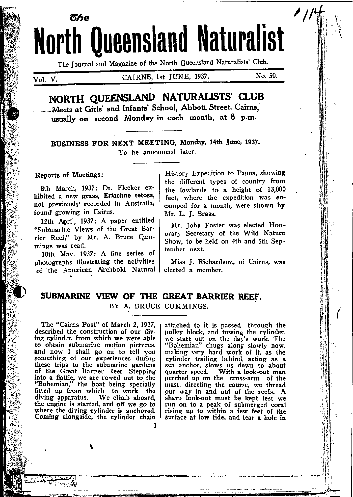# ิ ดีหด **North Queensland Naturalist**

The Journal and Magazine of the North Queensland Naturalists' Club.

Vol. V.

CAIRNS, 1st JUNE, 1937.

No. 50.

## NORTH OUEENSLAND NATURALISTS' CLUB

Meets at Girls' and Infants' School, Abbott Street, Cairns. usually on second Monday in each month. at 8 p.m.

BUSINESS FOR NEXT MEETING, Monday, 14th June, 1937. To be announced later.

#### Reports of Meetings:

8th March, 1937: Dr. Flecker exhibited a new grass, Eriachne setosa. not previously recorded in Australia, found growing in Cairns.

12th April, 1937: A paper entitled "Submarine Views of the Great Barrier Reef," by Mr. A. Bruce Cummings was read.

10th May, 1937: A fine series of photographs illustrating the activities of the American Archbold Natural

History Expedition to Papua, showing the different types of country from the lowlands to a height of 13,000 feet, where the expedition was encamped for a month, were shown by Mr. L. J. Brass.

Mr. John Foster was elected Honorary Secretary of the Wild Nature Show, to be held on 4th and 5th September next.

Miss J. Richardson, of Cairns, was elected a member.

#### SUBMARINE VIEW OF THE GREAT BARRIER REEF. BY A. BRUCE CUMMINGS.

The "Cairns Post" of March 2, 1937. described the construction of our diving cylinder, from which we were able to obtain submarine motion pictures.<br>and now I shall go on to tell you<br>something of our experiences during<br>these trips to the submarine gardens<br>of the Great Barrier Reef. Stepping into a flattie, we are rowed out to the "Bohemian," the boat being specially fitted up from which to work the<br>diving apparatus. We climb aboard,<br>the engine is started, and off we go to where the diving cylinder is anchored. Coming alongside, the cylinder chain

attached to it is passed through the pulley block, and towing the cylinder, we start out on the day's work. The "Bohemian" chugs along slowly now. making very hard work of it, as the cylinder trailing behind, acting as a sea anchor, slows us down to about quarter speed. With a look-out man perched up on the cross-arm of the mast, directing the course, we thread our way in and out of the reefs. A sharp look-out must be kept lest we run on to a peak of submerged coral rising up to within a few feet of the surface at low tide, and tear a hole in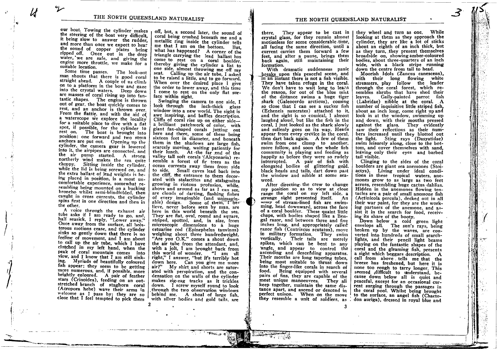our boat. Towing the cylinder makes the steering of the boat very difficult. it being slow to answer the rudder. and more than once we expect to hear the sound of copper plates being ripped off. Once out in the deep water, we are safe, and giving the engine more throttle, we make for a suitable location.

И

Some time passes. The look-out man shouts that there is good coral straight ahead. A couple of us climb on to a platform in the bow and gaze into the crystal waters. Deep down are masses of coral rising up into fantastic shapes. The engine is thrown out of gear, the boat quickly comes to rest, and an anchor is thrown over. From the flattie, and with the aid of a waterscope we explore the locality for a suitable place to dive with a flat spot, if possible, for the cylinder to rest on. The boat is brought into position: one forward and two stern anchors are put out. Opening up the cylinder, the camera gear is lowered into it, the airpipes are connected, and the air pump started. A strong northerly wind makes the sea quite choppy. Sitting inside the cylinder. while the lid is being screwed on, and the extra ballast of lead weights is being placed in position, is a most uncomfortable experience, somewhat resembling being mounted on a bucking broncho whilst semi-blindfolded, then caught in cross currents, the cylinder spins first in one direction and then in the other.

A voice through the exhaust air tube asks if I am ready to go, and, half seasick, I reply, "Lower away." Once away from the surface, all boisterous motions cease, and the cylinder sinks so gently down that there is no feeling of movement, and I am about to call up the air tube, which I have clutched in my left hand, when the peak of coral mountain comes into view, and I know that I am still sinking. Myriads of beautifully coloured fish appear; they seem to be getting more numerous, and, if possible, more brightly coloured. A pair of feather stars (Crinoidea), feeding on an outstretched branch of staghorn coral (Acropora hebe) wave their arms in welcome as I pass by: they are so close that I feel tempted to pick them

off, but, a second later, the sound of coral being crushed beneath me and a metallic ring inside the cylinder tells me that I am on the bottom. But, what has happened? A corner of the triangle carrying the lead ballast has come to rest on a coral boulder. thereby giving the cylinder a list to one side, almost throwing me off my seat. Calling up the air tube, I asked to be raised a little, and to go forward. When over the desired place I give the order to lower away, and this time I come to rest on the only flat surface within sight.

Swinging the camera to one side, I look through the inch-thick glass window into a new world. The sight is awe inspiring, and baffles description. Cliffs of coral rise up on either sidea brilliant patchwork of color, with giant fan-shaped corals jutting out here and there, some of these being sixteen feet in diameter, and beneath them in the shadows are large fish, scarcely moving, waiting patiently for their lunch. At the far end of the valley tall soft corals (Alcyonaria) resemble a forest of fir trees as the ocean currents sway them from side to side. Small caves lead back into the cliff, the entrance to them decorated with stalactites and stalagmites growing in riotous profusion, while, above and around as far as I can see, are clouds of darting, flashing fishes of every imaginable (and unimaginable) design. Some of them, I believe, never before seen by man, are here in this world beneath the sea. They are flat, oval, round and square, striped, spotted, and, in size, from microscopic dimensions to a huge estuarine cod (Epinephelus tauvinus) weighing about three hundredweight. "Are you O.K." comes a shout down the air tube from the attendant, and, with a jolt, I am brought back from this world of wonder. "I am all<br>right," I answer, "but it's terribly hot down here. Can you give me more air?" My shirt and shorts are saturated with perspiration, and the condensation on the walls of the cylinder makes zig-zag tracks as it trickles down. I screw myself round to look through the two observation windows behind me. A shoal of large fish, with silver bodies and gold tails, are

They appear to be cast in there. crystal glass, for they remain almost motionless for some considerable time, all facing the same direction, until a current carries them forward a few feet, and after a pause, brings them back again, still maintaining their formation.

With dramatic suddenness panic breaks upon this peaceful scene, and in an instant there is not a fish visible. They have taken refuge in the coral. We don't have to wait long to learn the reason, for out of the blue mist of the distance swims a huge tiger shark (Galeocerdo arcticus), coming so close that I can see a sucker fish (Echeneis naucrates) attached to it, and the sight is so comical, I almost laughed aloud, but like the fish in the coral, I just looked as the shark slowly and sullenly goes on its way. Heads appear from every crevice in the coral. then dart back again. A few of them swim from one clump to another, more follow, and soon the whole fish community is playing and feeding as happily as before they were so rudely interrupted. A pair of fish with elongated bodies of glittering gold, black heads and tails, dart down past the window and nibble at some seaweed.

After directing the crew to change my position so as to view at close range the coral on my left side, a strange sight presented itself. An army of stream-lined fish are swimming, head downward, across the face of a coral boulder. These quaint little chaps, with bodies shaped like a Bengal razor, and between three and five inches long, and appropriately called razor fish (Centriscus scutatus), move in military formation. They swim vertically. Their tails are merely spikes, which can be bent to any angle, and appear to control the ascending and descending apparatus. Their mouths are long tapering tubes, being most suitable to thrust down into the finger-like corals in search of food. Being equipped with several pairs of fins, they are capable of the most unique manoeuvres. They all keep together, maintain the same distance apart, and ascend or descend in perfect unison. When on the move they resemble a unit of soldiers, as

they wheel and turn as one. While looking at them as they approach the cylinder, they are like a lot of sticks about an eighth of an inch thick, but as they turn, they present themselves broadside on, showing amber-coloured bodies, about three-quarters of an inch wide, with a black stripe running down the centre from tail to head.

Moorish Idols (Zancus canescens), with their long flowing white streamers, play follow the leader through the coral forest, which resembles shrubs that have shed their leaves. Gaily-painted parrot fish (Labridae) nibble at the coral. A number of inquisitive little striped fish, about an inch long, come right up and look in at the window, swimming up and down, with their mouths pressed against the glass. They evidently saw their reflections as their numbers increased until they blotted out the light. Sting rays (Dasyatidae) swim leisurely along, close to the bottom, and cover themselves with sand. leaving only their eves and barbed tail visible.

Clinging to the sides of the coral boulders are giant sea anemones (Stoiactys). Living under ideal conditions in these tropical waters, anemones grow to as large as two feet across, resembling huge cactus dahlias. Hidden in the anemones flowing tentacles are a pair of small anemone fish (Actinicola percula), decked out in all their war paint, for they are the working partners of the anemone, and assist it in the search for food, receiving its share of the booty.

Down below a cold green light<br>envelops all. The sun's rays, being broken up by the waves, are converted into hundreds of small searchlights, and their pencil light beams playing on the fantastic shapes of the coral and the gleaming fish, presents a sight which beggars description. A call from above tells me that the breeze has freshened, but here it is none too rough to tarry longer. This seemed difficult to understand, because down below all is quiet and peaceful, except for an occasional current surging through the passages in the coral pool. Whilst being brought to the surface, an angel fish (Chaetodon auriga), dressed in royal blue and